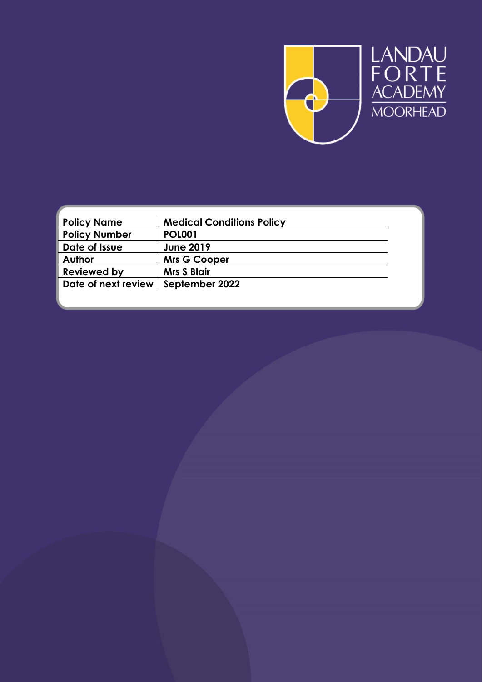

| <b>Policy Name</b>   | <b>Medical Conditions Policy</b> |  |
|----------------------|----------------------------------|--|
| <b>Policy Number</b> | <b>POL001</b>                    |  |
| Date of Issue        | <b>June 2019</b>                 |  |
| <b>Author</b>        | <b>Mrs G Cooper</b>              |  |
| <b>Reviewed by</b>   | <b>Mrs S Blair</b>               |  |
| Date of next review  | September 2022                   |  |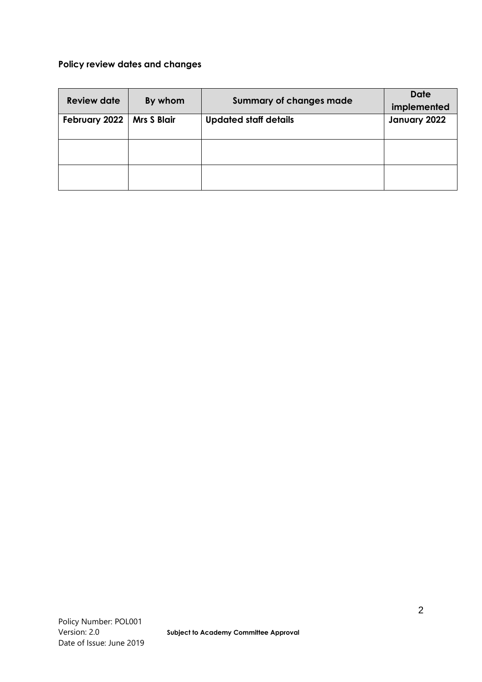### **Policy review dates and changes**

| <b>Review date</b> | By whom            | <b>Summary of changes made</b> | <b>Date</b><br>implemented |
|--------------------|--------------------|--------------------------------|----------------------------|
| February 2022      | <b>Mrs S Blair</b> | <b>Updated staff details</b>   | January 2022               |
|                    |                    |                                |                            |
|                    |                    |                                |                            |
|                    |                    |                                |                            |
|                    |                    |                                |                            |
|                    |                    |                                |                            |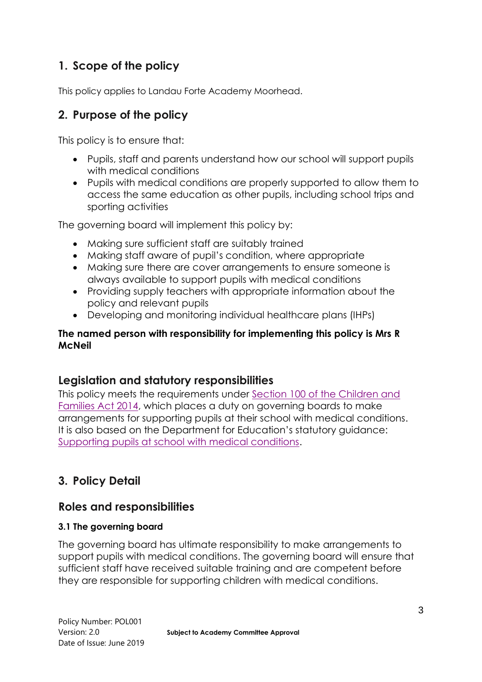# **1. Scope of the policy**

This policy applies to Landau Forte Academy Moorhead.

## **2. Purpose of the policy**

This policy is to ensure that:

- Pupils, staff and parents understand how our school will support pupils with medical conditions
- Pupils with medical conditions are properly supported to allow them to access the same education as other pupils, including school trips and sporting activities

The governing board will implement this policy by:

- Making sure sufficient staff are suitably trained
- Making staff aware of pupil's condition, where appropriate
- Making sure there are cover arrangements to ensure someone is always available to support pupils with medical conditions
- Providing supply teachers with appropriate information about the policy and relevant pupils
- Developing and monitoring individual healthcare plans (IHPs)

### **The named person with responsibility for implementing this policy is Mrs R McNeil**

## **Legislation and statutory responsibilities**

This policy meets the requirements under [Section 100 of the Children and](http://www.legislation.gov.uk/ukpga/2014/6/part/5/crossheading/pupils-with-medical-conditions)  [Families Act 2014,](http://www.legislation.gov.uk/ukpga/2014/6/part/5/crossheading/pupils-with-medical-conditions) which places a duty on governing boards to make arrangements for supporting pupils at their school with medical conditions. It is also based on the Department for Education's statutory guidance: [Supporting pupils at school with medical conditions.](https://www.gov.uk/government/uploads/system/uploads/attachment_data/file/484418/supporting-pupils-at-school-with-medical-conditions.pdf)

# **3. Policy Detail**

## **Roles and responsibilities**

### **3.1 The governing board**

The governing board has ultimate responsibility to make arrangements to support pupils with medical conditions. The governing board will ensure that sufficient staff have received suitable training and are competent before they are responsible for supporting children with medical conditions.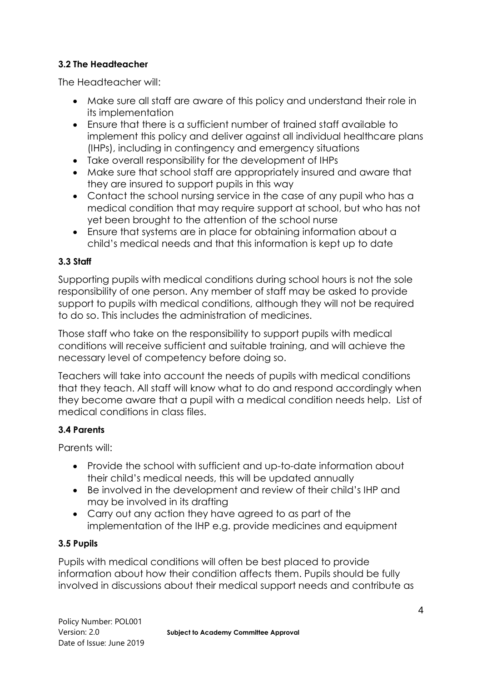### **3.2 The Headteacher**

The Headteacher will:

- Make sure all staff are aware of this policy and understand their role in its implementation
- Ensure that there is a sufficient number of trained staff available to implement this policy and deliver against all individual healthcare plans (IHPs), including in contingency and emergency situations
- Take overall responsibility for the development of IHPs
- Make sure that school staff are appropriately insured and aware that they are insured to support pupils in this way
- Contact the school nursing service in the case of any pupil who has a medical condition that may require support at school, but who has not yet been brought to the attention of the school nurse
- Ensure that systems are in place for obtaining information about a child's medical needs and that this information is kept up to date

### **3.3 Staff**

Supporting pupils with medical conditions during school hours is not the sole responsibility of one person. Any member of staff may be asked to provide support to pupils with medical conditions, although they will not be required to do so. This includes the administration of medicines.

Those staff who take on the responsibility to support pupils with medical conditions will receive sufficient and suitable training, and will achieve the necessary level of competency before doing so.

Teachers will take into account the needs of pupils with medical conditions that they teach. All staff will know what to do and respond accordingly when they become aware that a pupil with a medical condition needs help. List of medical conditions in class files.

### **3.4 Parents**

Parents will:

- Provide the school with sufficient and up-to-date information about their child's medical needs, this will be updated annually
- Be involved in the development and review of their child's IHP and may be involved in its drafting
- Carry out any action they have agreed to as part of the implementation of the IHP e.g. provide medicines and equipment

### **3.5 Pupils**

Pupils with medical conditions will often be best placed to provide information about how their condition affects them. Pupils should be fully involved in discussions about their medical support needs and contribute as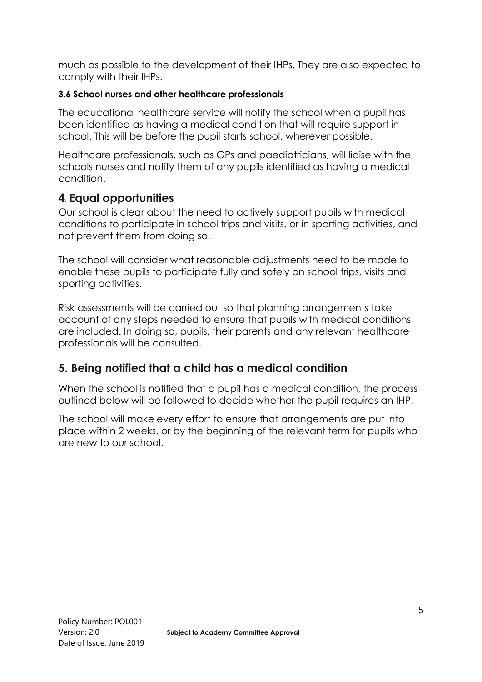much as possible to the development of their IHPs. They are also expected to comply with their IHPs.

#### **3.6 School nurses and other healthcare professionals**

The educational healthcare service will notify the school when a pupil has been identified as having a medical condition that will require support in school. This will be before the pupil starts school, wherever possible.

Healthcare professionals, such as GPs and paediatricians, will liaise with the schools nurses and notify them of any pupils identified as having a medical condition.

## **4**. **Equal opportunities**

Our school is clear about the need to actively support pupils with medical conditions to participate in school trips and visits, or in sporting activities, and not prevent them from doing so.

The school will consider what reasonable adjustments need to be made to enable these pupils to participate fully and safely on school trips, visits and sporting activities.

Risk assessments will be carried out so that planning arrangements take account of any steps needed to ensure that pupils with medical conditions are included. In doing so, pupils, their parents and any relevant healthcare professionals will be consulted.

## **5. Being notified that a child has a medical condition**

When the school is notified that a pupil has a medical condition, the process outlined below will be followed to decide whether the pupil requires an IHP.

The school will make every effort to ensure that arrangements are put into place within 2 weeks, or by the beginning of the relevant term for pupils who are new to our school.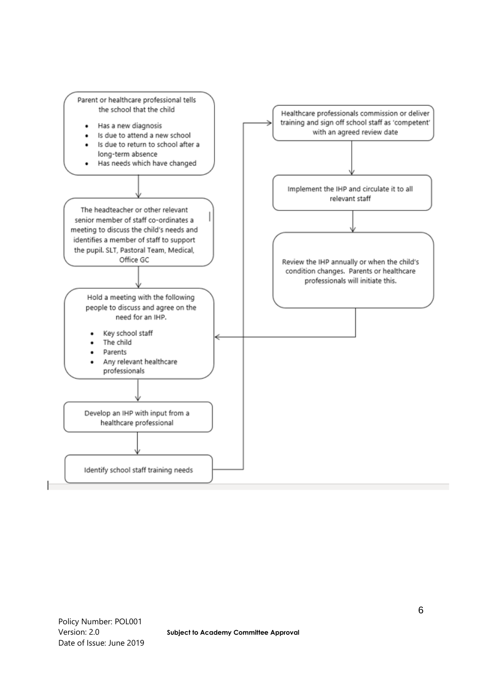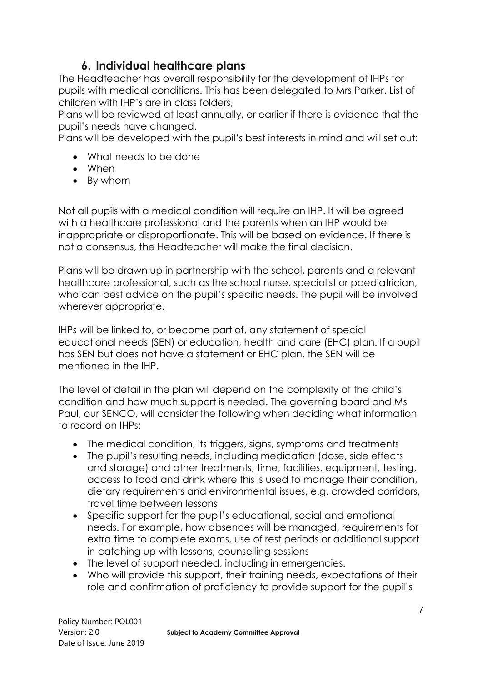## **6. Individual healthcare plans**

The Headteacher has overall responsibility for the development of IHPs for pupils with medical conditions. This has been delegated to Mrs Parker. List of children with IHP's are in class folders,

Plans will be reviewed at least annually, or earlier if there is evidence that the pupil's needs have changed.

Plans will be developed with the pupil's best interests in mind and will set out:

- What needs to be done
- When
- By whom

Not all pupils with a medical condition will require an IHP. It will be agreed with a healthcare professional and the parents when an IHP would be inappropriate or disproportionate. This will be based on evidence. If there is not a consensus, the Headteacher will make the final decision.

Plans will be drawn up in partnership with the school, parents and a relevant healthcare professional, such as the school nurse, specialist or paediatrician, who can best advice on the pupil's specific needs. The pupil will be involved wherever appropriate.

IHPs will be linked to, or become part of, any statement of special educational needs (SEN) or education, health and care (EHC) plan. If a pupil has SEN but does not have a statement or EHC plan, the SEN will be mentioned in the IHP.

The level of detail in the plan will depend on the complexity of the child's condition and how much support is needed. The governing board and Ms Paul, our SENCO, will consider the following when deciding what information to record on IHPs:

- The medical condition, its triggers, signs, symptoms and treatments
- The pupil's resulting needs, including medication (dose, side effects and storage) and other treatments, time, facilities, equipment, testing, access to food and drink where this is used to manage their condition, dietary requirements and environmental issues, e.g. crowded corridors, travel time between lessons
- Specific support for the pupil's educational, social and emotional needs. For example, how absences will be managed, requirements for extra time to complete exams, use of rest periods or additional support in catching up with lessons, counselling sessions
- The level of support needed, including in emergencies.
- Who will provide this support, their training needs, expectations of their role and confirmation of proficiency to provide support for the pupil's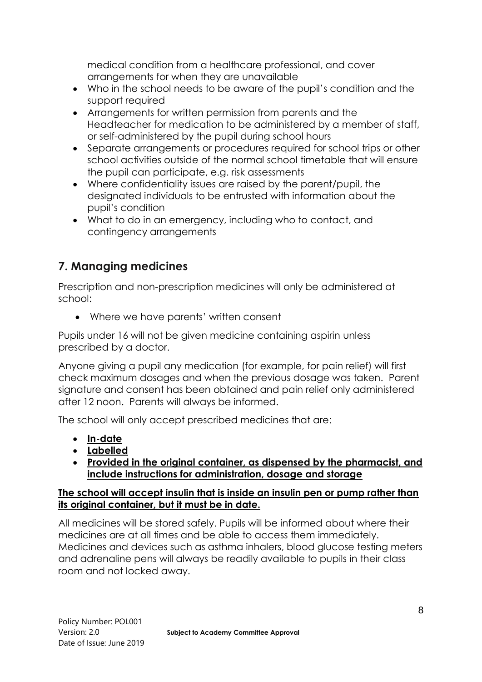medical condition from a healthcare professional, and cover arrangements for when they are unavailable

- Who in the school needs to be aware of the pupil's condition and the support required
- Arrangements for written permission from parents and the Headteacher for medication to be administered by a member of staff, or self-administered by the pupil during school hours
- Separate arrangements or procedures required for school trips or other school activities outside of the normal school timetable that will ensure the pupil can participate, e.g. risk assessments
- Where confidentiality issues are raised by the parent/pupil, the designated individuals to be entrusted with information about the pupil's condition
- What to do in an emergency, including who to contact, and contingency arrangements

# **7. Managing medicines**

Prescription and non-prescription medicines will only be administered at school:

• Where we have parents' written consent

Pupils under 16 will not be given medicine containing aspirin unless prescribed by a doctor.

Anyone giving a pupil any medication (for example, for pain relief) will first check maximum dosages and when the previous dosage was taken. Parent signature and consent has been obtained and pain relief only administered after 12 noon. Parents will always be informed.

The school will only accept prescribed medicines that are:

- **In-date**
- **Labelled**
- **Provided in the original container, as dispensed by the pharmacist, and include instructions for administration, dosage and storage**

#### **The school will accept insulin that is inside an insulin pen or pump rather than its original container, but it must be in date.**

All medicines will be stored safely. Pupils will be informed about where their medicines are at all times and be able to access them immediately. Medicines and devices such as asthma inhalers, blood glucose testing meters and adrenaline pens will always be readily available to pupils in their class room and not locked away.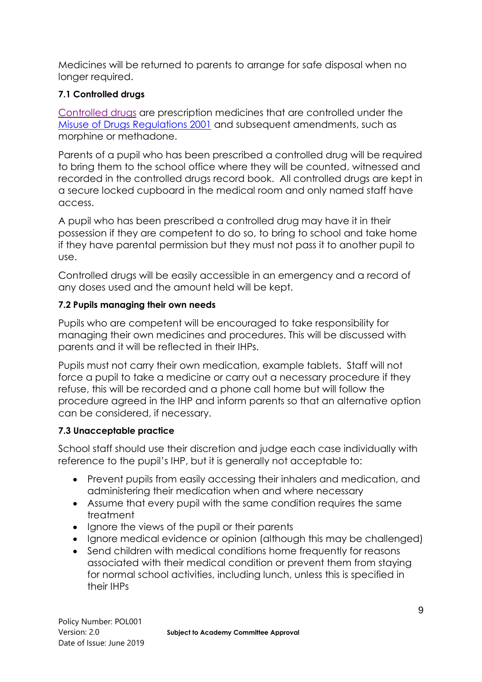Medicines will be returned to parents to arrange for safe disposal when no longer required.

#### **7.1 Controlled drugs**

[Controlled drugs](http://www.nhs.uk/chq/Pages/1391.aspx?CategoryID=73) are prescription medicines that are controlled under the [Misuse of Drugs Regulations 2001](http://www.legislation.gov.uk/uksi/2001/3998/schedule/1/made) and subsequent amendments, such as morphine or methadone.

Parents of a pupil who has been prescribed a controlled drug will be required to bring them to the school office where they will be counted, witnessed and recorded in the controlled drugs record book. All controlled drugs are kept in a secure locked cupboard in the medical room and only named staff have access.

A pupil who has been prescribed a controlled drug may have it in their possession if they are competent to do so, to bring to school and take home if they have parental permission but they must not pass it to another pupil to use.

Controlled drugs will be easily accessible in an emergency and a record of any doses used and the amount held will be kept.

#### **7.2 Pupils managing their own needs**

Pupils who are competent will be encouraged to take responsibility for managing their own medicines and procedures. This will be discussed with parents and it will be reflected in their IHPs.

Pupils must not carry their own medication, example tablets. Staff will not force a pupil to take a medicine or carry out a necessary procedure if they refuse, this will be recorded and a phone call home but will follow the procedure agreed in the IHP and inform parents so that an alternative option can be considered, if necessary.

### **7.3 Unacceptable practice**

School staff should use their discretion and judge each case individually with reference to the pupil's IHP, but it is generally not acceptable to:

- Prevent pupils from easily accessing their inhalers and medication, and administering their medication when and where necessary
- Assume that every pupil with the same condition requires the same treatment
- Ignore the views of the pupil or their parents
- Ignore medical evidence or opinion (although this may be challenged)
- Send children with medical conditions home frequently for reasons associated with their medical condition or prevent them from staying for normal school activities, including lunch, unless this is specified in their IHPs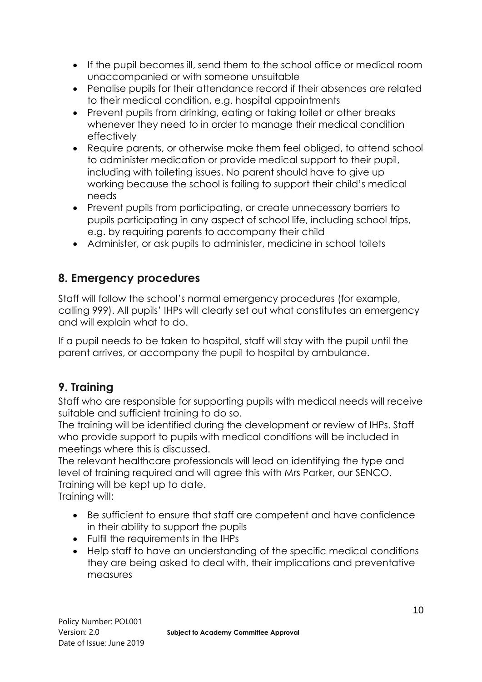- If the pupil becomes ill, send them to the school office or medical room unaccompanied or with someone unsuitable
- Penalise pupils for their attendance record if their absences are related to their medical condition, e.g. hospital appointments
- Prevent pupils from drinking, eating or taking toilet or other breaks whenever they need to in order to manage their medical condition effectively
- Require parents, or otherwise make them feel obliged, to attend school to administer medication or provide medical support to their pupil, including with toileting issues. No parent should have to give up working because the school is failing to support their child's medical needs
- Prevent pupils from participating, or create unnecessary barriers to pupils participating in any aspect of school life, including school trips, e.g. by requiring parents to accompany their child
- Administer, or ask pupils to administer, medicine in school toilets

## **8. Emergency procedures**

Staff will follow the school's normal emergency procedures (for example, calling 999). All pupils' IHPs will clearly set out what constitutes an emergency and will explain what to do.

If a pupil needs to be taken to hospital, staff will stay with the pupil until the parent arrives, or accompany the pupil to hospital by ambulance.

## **9. Training**

Staff who are responsible for supporting pupils with medical needs will receive suitable and sufficient training to do so.

The training will be identified during the development or review of IHPs. Staff who provide support to pupils with medical conditions will be included in meetings where this is discussed.

The relevant healthcare professionals will lead on identifying the type and level of training required and will agree this with Mrs Parker, our SENCO. Training will be kept up to date. Training will:

- Be sufficient to ensure that staff are competent and have confidence in their ability to support the pupils
- Fulfil the requirements in the IHPs
- Help staff to have an understanding of the specific medical conditions they are being asked to deal with, their implications and preventative measures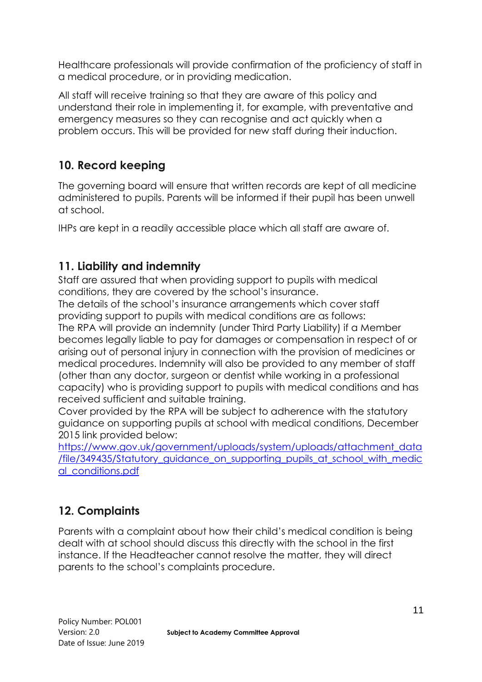Healthcare professionals will provide confirmation of the proficiency of staff in a medical procedure, or in providing medication.

All staff will receive training so that they are aware of this policy and understand their role in implementing it, for example, with preventative and emergency measures so they can recognise and act quickly when a problem occurs. This will be provided for new staff during their induction.

# **10. Record keeping**

The governing board will ensure that written records are kept of all medicine administered to pupils. Parents will be informed if their pupil has been unwell at school.

IHPs are kept in a readily accessible place which all staff are aware of.

# **11. Liability and indemnity**

Staff are assured that when providing support to pupils with medical conditions, they are covered by the school's insurance.

The details of the school's insurance arrangements which cover staff providing support to pupils with medical conditions are as follows: The RPA will provide an indemnity (under Third Party Liability) if a Member becomes legally liable to pay for damages or compensation in respect of or arising out of personal injury in connection with the provision of medicines or medical procedures. Indemnity will also be provided to any member of staff (other than any doctor, surgeon or dentist while working in a professional capacity) who is providing support to pupils with medical conditions and has received sufficient and suitable training.

Cover provided by the RPA will be subject to adherence with the statutory guidance on supporting pupils at school with medical conditions, December 2015 link provided below:

[https://www.gov.uk/government/uploads/system/uploads/attachment\\_data](https://www.gov.uk/government/uploads/system/uploads/attachment_data/file/349435/Statutory_guidance_on_supporting_pupils_at_school_with_medical_conditions.pdf) [/file/349435/Statutory\\_guidance\\_on\\_supporting\\_pupils\\_at\\_school\\_with\\_medic](https://www.gov.uk/government/uploads/system/uploads/attachment_data/file/349435/Statutory_guidance_on_supporting_pupils_at_school_with_medical_conditions.pdf) [al\\_conditions.pdf](https://www.gov.uk/government/uploads/system/uploads/attachment_data/file/349435/Statutory_guidance_on_supporting_pupils_at_school_with_medical_conditions.pdf)

# **12. Complaints**

Parents with a complaint about how their child's medical condition is being dealt with at school should discuss this directly with the school in the first instance. If the Headteacher cannot resolve the matter, they will direct parents to the school's complaints procedure.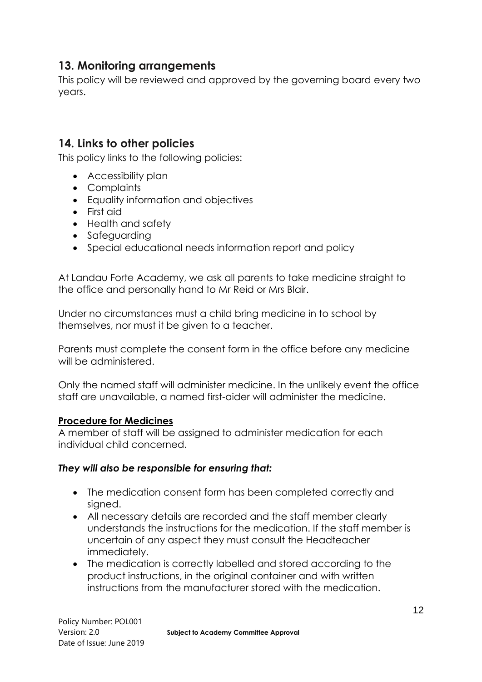## **13. Monitoring arrangements**

This policy will be reviewed and approved by the governing board every two years.

### **14. Links to other policies**

This policy links to the following policies:

- Accessibility plan
- Complaints
- Equality information and objectives
- First aid
- Health and safety
- Safeguarding
- Special educational needs information report and policy

At Landau Forte Academy, we ask all parents to take medicine straight to the office and personally hand to Mr Reid or Mrs Blair.

Under no circumstances must a child bring medicine in to school by themselves, nor must it be given to a teacher.

Parents must complete the consent form in the office before any medicine will be administered.

Only the named staff will administer medicine. In the unlikely event the office staff are unavailable, a named first-aider will administer the medicine.

#### **Procedure for Medicines**

A member of staff will be assigned to administer medication for each individual child concerned.

#### *They will also be responsible for ensuring that:*

- The medication consent form has been completed correctly and signed.
- All necessary details are recorded and the staff member clearly understands the instructions for the medication. If the staff member is uncertain of any aspect they must consult the Headteacher immediately.
- The medication is correctly labelled and stored according to the product instructions, in the original container and with written instructions from the manufacturer stored with the medication.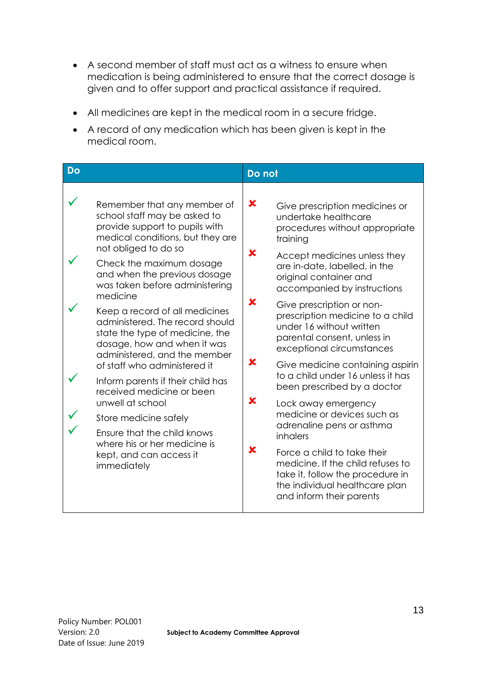- A second member of staff must act as a witness to ensure when medication is being administered to ensure that the correct dosage is given and to offer support and practical assistance if required.
- All medicines are kept in the medical room in a secure fridge.
- A record of any medication which has been given is kept in the medical room.

| <b>Do</b>                                                                                                                                                                                                                                                                                                                                                                                                                                                                                                                                                                                                                                                                                          | Do not                                                                                                                                                                                                                                                                                                                                                                                                                                                                                                                                                                                                                                                                                                                                                                                             |
|----------------------------------------------------------------------------------------------------------------------------------------------------------------------------------------------------------------------------------------------------------------------------------------------------------------------------------------------------------------------------------------------------------------------------------------------------------------------------------------------------------------------------------------------------------------------------------------------------------------------------------------------------------------------------------------------------|----------------------------------------------------------------------------------------------------------------------------------------------------------------------------------------------------------------------------------------------------------------------------------------------------------------------------------------------------------------------------------------------------------------------------------------------------------------------------------------------------------------------------------------------------------------------------------------------------------------------------------------------------------------------------------------------------------------------------------------------------------------------------------------------------|
| Remember that any member of<br>school staff may be asked to<br>provide support to pupils with<br>medical conditions, but they are<br>not obliged to do so<br>Check the maximum dosage<br>and when the previous dosage<br>was taken before administering<br>medicine<br>Keep a record of all medicines<br>administered. The record should<br>state the type of medicine, the<br>dosage, how and when it was<br>administered, and the member<br>of staff who administered it<br>Inform parents if their child has<br>received medicine or been<br>unwell at school<br>Store medicine safely<br>Ensure that the child knows<br>where his or her medicine is<br>kept, and can access it<br>immediately | ×<br>Give prescription medicines or<br>undertake healthcare<br>procedures without appropriate<br>training<br>x<br>Accept medicines unless they<br>are in-date, labelled, in the<br>original container and<br>accompanied by instructions<br>x<br>Give prescription or non-<br>prescription medicine to a child<br>under 16 without written<br>parental consent, unless in<br>exceptional circumstances<br>x<br>Give medicine containing aspirin<br>to a child under 16 unless it has<br>been prescribed by a doctor<br>x<br>Lock away emergency<br>medicine or devices such as<br>adrenaline pens or asthma<br>inhalers<br>x<br>Force a child to take their<br>medicine. If the child refuses to<br>take it, follow the procedure in<br>the individual healthcare plan<br>and inform their parents |